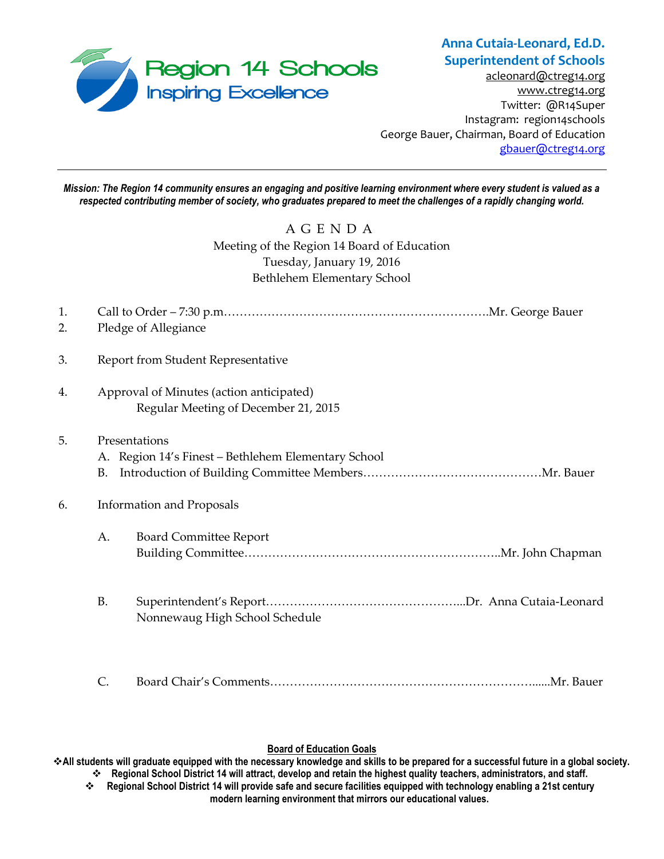

## **Anna Cutaia-Leonard, Ed.D. Superintendent of Schools**

[acleonard@ctreg14.org](mailto:acleonard@ctreg14.org) [www.ctreg14.org](http://www.ctreg14.org/) Twitter: @R14Super Instagram: region14schools George Bauer, Chairman, Board of Education [gbauer@ctreg14.org](mailto:gbauer@ctreg14.org)

*Mission: The Region 14 community ensures an engaging and positive learning environment where every student is valued as a respected contributing member of society, who graduates prepared to meet the challenges of a rapidly changing world.*

> A G E N D A Meeting of the Region 14 Board of Education Tuesday, January 19, 2016 Bethlehem Elementary School

| 1.<br>2. | Pledge of Allegiance                     |                                                     |  |
|----------|------------------------------------------|-----------------------------------------------------|--|
|          |                                          |                                                     |  |
| 3.       |                                          | Report from Student Representative                  |  |
| 4.       | Approval of Minutes (action anticipated) |                                                     |  |
|          |                                          | Regular Meeting of December 21, 2015                |  |
| 5.       | Presentations                            |                                                     |  |
|          |                                          | A. Region 14's Finest - Bethlehem Elementary School |  |
|          | В.                                       |                                                     |  |
| 6.       | <b>Information and Proposals</b>         |                                                     |  |
|          | A.                                       | <b>Board Committee Report</b>                       |  |
|          |                                          |                                                     |  |
|          | <b>B.</b>                                |                                                     |  |
|          |                                          | Nonnewaug High School Schedule                      |  |
|          |                                          |                                                     |  |
|          | C.                                       |                                                     |  |

## **Board of Education Goals**

**All students will graduate equipped with the necessary knowledge and skills to be prepared for a successful future in a global society. Regional School District 14 will attract, develop and retain the highest quality teachers, administrators, and staff.**

 **Regional School District 14 will provide safe and secure facilities equipped with technology enabling a 21st century modern learning environment that mirrors our educational values.**